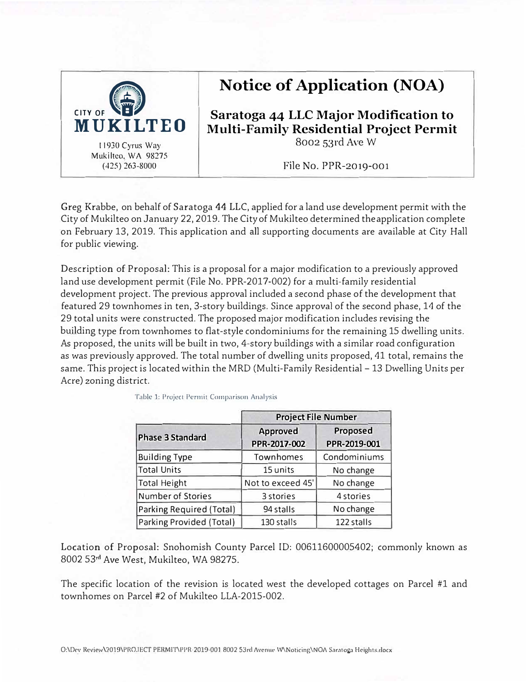

# **Notice of Application (NOA)**

**Saratoga 44 LLC Major Modification to Multi-Family Residential Project Permit**  8002 53rd Ave W

File No. PPR-2019-001

Greg Krabbe, on behalf of Saratoga 44 LLC, applied for a land use development permit with the City of Mukilteo on January 22, 2019. The Cityof Mukilteo determined theapplication complete on February 13, 2019. This application and all supporting documents are available at City Hall for public viewing.

Description of Proposal: This is a proposal for a major modification to a previously approved land use development permit (File No. PPR-2017-002) for a multi-family residential development project. The previous approval included a second phase of the development that featured 29 townhomes in ten, 3-story buildings. Since approval of the second phase, 14 of the 29 total units were constructed. The proposed major modification includes revising the building type from townhomes to flat-style condominiums for the remaining 15 dwelling units. As proposed, the units will be built in two, 4-story buildings with a similar road configuration as was previously approved. The total number of dwelling units proposed, 41 total, remains the same. This project is located within the MRD (Multi-Family Residential - 13 Dwelling Units per Acre) zoning district.

|                          | <b>Project File Number</b> |                          |
|--------------------------|----------------------------|--------------------------|
| <b>Phase 3 Standard</b>  | Approved<br>PPR-2017-002   | Proposed<br>PPR-2019-001 |
| <b>Building Type</b>     | Townhomes                  | Condominiums             |
| Total Units              | 15 units                   | No change                |
| Total Height             | Not to exceed 45'          | No change                |
| Number of Stories        | 3 stories                  | 4 stories                |
| Parking Required (Total) | 94 stalls                  | No change                |
| Parking Provided (Total) | 130 stalls                 | 122 stalls               |

Table 1: Project Permit Comparison Analysis

Location of Proposal: Snohomish County Parcel ID: 00611600005402; commonly known as 8002 53**rd** Ave West, Mukilteo, WA 98275.

The specific location of the revision is located west the developed cottages on Parcel #1 and townhomes on Parcel #2 of Mukilteo LLA-2015-002.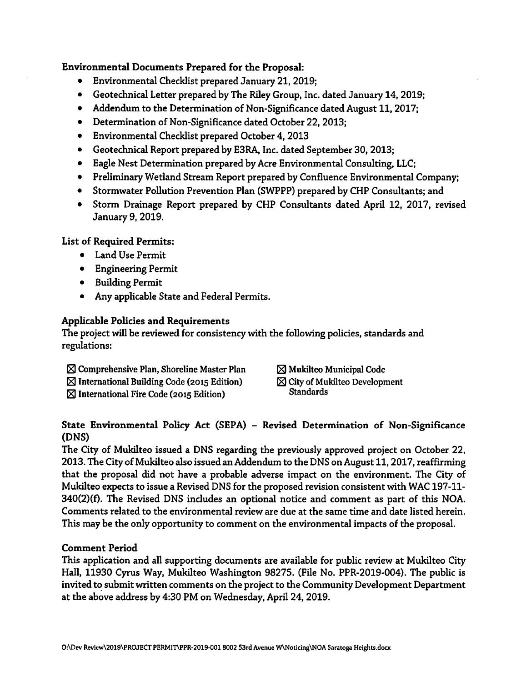## Environmental Documents Prepared for the Proposal:

- Environmental Checklist prepared January 21, 2019;
- Geotechnical Letter prepared by The Riley Group, Inc. dated January 14, 2019;
- Addendum to the Determination of Non-Significance dated August 11, 2017;
- Determination of Non-Significance dated October 22, 2013;
- Environmental Checklist prepared October 4, 2013
- Geotechnical Report prepared by E3RA, Inc. dated September 30, 2013;
- Eagle Nest Determination prepared by Acre Environmental Consulting, LLC;
- Preliminary Wetland Stream Report prepared by Confluence Environmental Company;
- Stormwater Pollution Prevention Plan (SWPPP) prepared by CHP Consultants; and
- Storm Drainage Report prepared by CHP Consultants dated April 12, 2017, revised January 9, 2019.

**List of Required Permits:** 

- Land Use Permit
- **•** Engineering Permit
- Building Permit
- Any applicable State and Federal Permits.

# **Applicable Policies and Requirements**

The project will be reviewed for consistency with the following policies, standards and regulations:

- $\boxtimes$  Comprehensive Plan, Shoreline Master Plan
- $\boxtimes$  International Building Code (2015 Edition)
- $\boxtimes$  International Fire Code (2015 Edition)
- $\boxtimes$  Mukilteo Municipal Code
- $\boxtimes$  City of Mukilteo Development **Standards**

## State Environmental Policy Act (SEPA) - Revised Determination of Non-Significance (DNS)

The City of Mukilteo issued a DNS regarding the previously approved project on October 22, 2013. The City of Mukilteo also issued an Addendum to the DNS on August 11, 2017, reaffirming that the proposal did not have a probable adverse impact on the environment. The City of Mukilteo expects to issue a Revised DNS for the proposed revision consistent with WAC 197-11-340(2)(f). The Revised DNS includes an optional notice and comment as part of this NOA. Comments related to the environmental review are due at the same time and date listed herein. This may be the only opportunity to comment on the environmental impacts of the proposal.

# **Comment Period**

This application and all supporting documents are available for public review at Mukilteo City Hall, 11930 Cyrus Way, Mukilteo Washington 98275. (File No. PPR-2019-004). The public is invited to submit written comments on the project to the Community Development Department at the above address by 4:30 PM on Wednesday, April 24, 2019.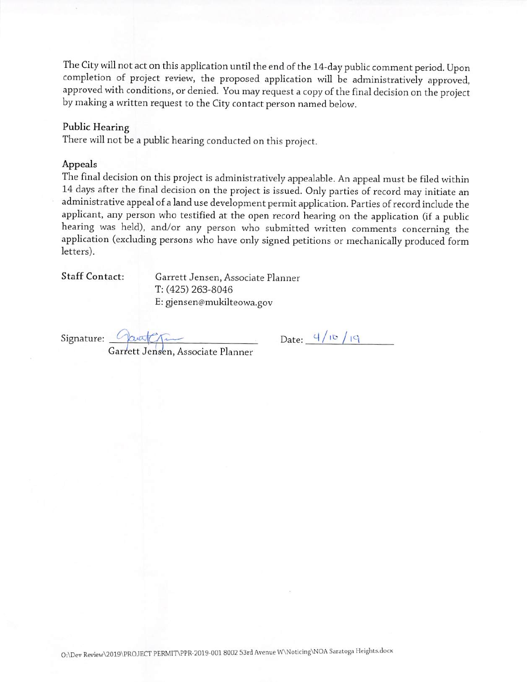The City will not act on this application until the end of the 14-day public comment period. Upon completion of project review, the proposed application will be administratively approved, approved with conditions, or denied. You may request a copy of the final decision on the project by making a written request to the City contact person named below.

#### **Public Hearing**

There will not be a public hearing conducted on this project.

#### Appeals

The final decision on this project is administratively appealable. An appeal must be filed within 14 days after the final decision on the project is issued. Only parties of record may initiate an administrative appeal of a land use development permit application. Parties of record include the applicant, any person who testified at the open record hearing on the application (if a public hearing was held), and/or any person who submitted written comments concerning the application (excluding persons who have only signed petitions or mechanically produced form letters).

Staff Contact:

Garrett Jensen, Associate Planner T: (425) 263-8046 E: gjensen@mukilteowa.gov

Signature:  $\frac{\sqrt{2\pi}}{\sqrt{2\pi}}$  Date:  $\frac{4}{10}/19$